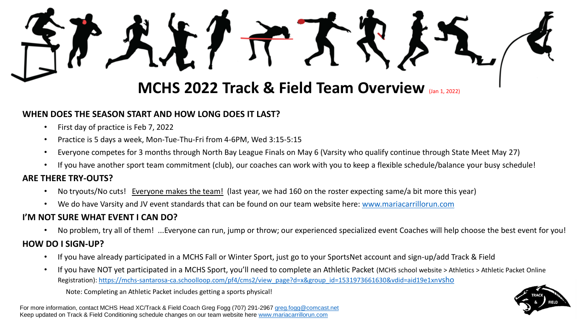# **MCHS 2022 Track & Field Team Overview** (Jan 1, 2022)

## **WHEN DOES THE SEASON START AND HOW LONG DOES IT LAST?**

- First day of practice is Feb 7, 2022
- Practice is 5 days a week, Mon-Tue-Thu-Fri from 4-6PM, Wed 3:15-5:15
- Everyone competes for 3 months through North Bay League Finals on May 6 (Varsity who qualify continue through State Meet May 27)
- If you have another sport team commitment (club), our coaches can work with you to keep a flexible schedule/balance your busy schedule!

#### **ARE THERE TRY-OUTS?**

- No tryouts/No cuts! Everyone makes the team! (last year, we had 160 on the roster expecting same/a bit more this year)
- We do have Varsity and JV event standards that can be found on our team website here: [www.mariacarrillorun.com](http://www.mariacarrillorun.com/)

### **I'M NOT SURE WHAT EVENT I CAN DO?**

• No problem, try all of them! ...Everyone can run, jump or throw; our experienced specialized event Coaches will help choose the best event for you!

#### **HOW DO I SIGN-UP?**

- If you have already participated in a MCHS Fall or Winter Sport, just go to your SportsNet account and sign-up/add Track & Field
- If you have NOT yet participated in a MCHS Sport, you'll need to complete an Athletic Packet (MCHS school website > Athletics > Athletic Packet Online Registration): [https://mchs-santarosa-ca.schoolloop.com/pf4/cms2/view\\_page?d=x&group\\_id=1531973661630&vdid=aid19e1xn](https://mchs-santarosa-ca.schoolloop.com/pf4/cms2/view_page?d=x&group_id=1531973661630&vdid=aid19e1xnvsho)vsho

Note: Completing an Athletic Packet includes getting a sports physical!

For more information, contact MCHS Head XC/Track & Field Coach Greg Fogg (707) 291-2967 [greg.fogg@comcast.net](mailto:greg.fogg@comcast.net) Keep updated on Track & Field Conditioning schedule changes on our team website here [www.mariacarrillorun.com](http://www.mariacarrillorun.com/)